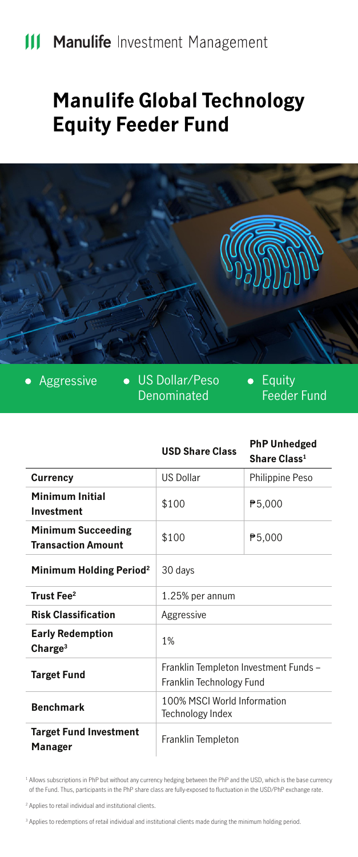## **Manulife Global Technology Equity Feeder Fund**



• Aggressive • US Dollar/Peso Denominated

• Equity Feeder Fund

|                                                        | <b>USD Share Class</b>                                            | <b>PhP Unhedged</b><br>Share Class <sup>1</sup> |
|--------------------------------------------------------|-------------------------------------------------------------------|-------------------------------------------------|
| Currency                                               | <b>US Dollar</b>                                                  | Philippine Peso                                 |
| Minimum Initial<br>Investment                          | \$100                                                             | ₱5,000                                          |
| <b>Minimum Succeeding</b><br><b>Transaction Amount</b> | \$100                                                             | ₱5,000                                          |
| Minimum Holding Period <sup>2</sup>                    | 30 days                                                           |                                                 |
| Trust Fee <sup>2</sup>                                 | 1.25% per annum                                                   |                                                 |
| <b>Risk Classification</b>                             | Aggressive                                                        |                                                 |
| <b>Early Redemption</b><br>Change <sup>3</sup>         | 1%                                                                |                                                 |
| <b>Target Fund</b>                                     | Franklin Templeton Investment Funds -<br>Franklin Technology Fund |                                                 |
| <b>Benchmark</b>                                       | 100% MSCI World Information<br>Technology Index                   |                                                 |
| <b>Target Fund Investment</b><br>Manager               | Franklin Templeton                                                |                                                 |

<sup>1</sup> Allows subscriptions in PhP but without any currency hedging between the PhP and the USD, which is the base currency of the Fund. Thus, participants in the PhP share class are fully-exposed to fluctuation in the USD/PhP exchange rate.

<sup>2</sup> Applies to retail individual and institutional clients.

<sup>3</sup> Applies to redemptions of retail individual and institutional clients made during the minimum holding period.